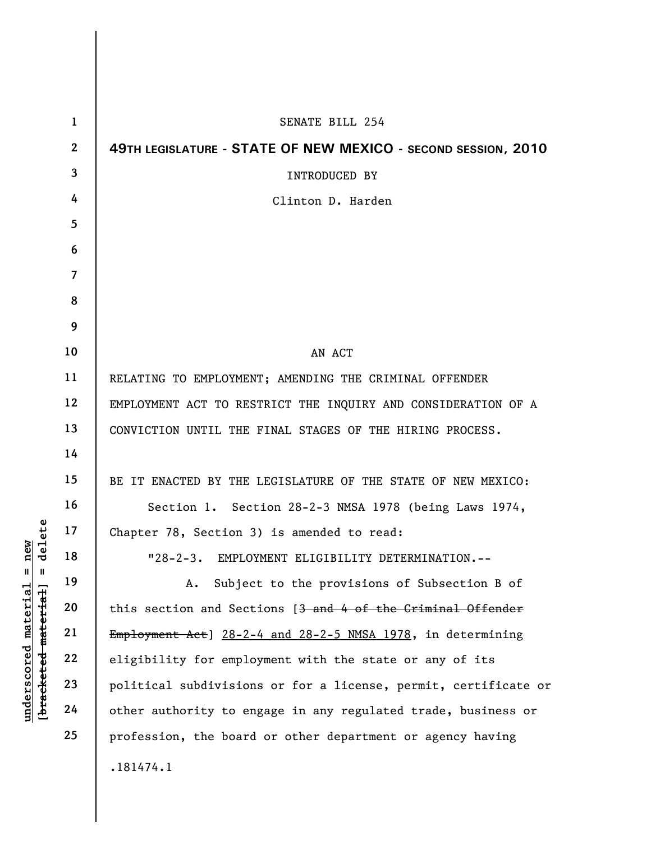| $\mathbf 1$    | SENATE BILL 254                                                 |
|----------------|-----------------------------------------------------------------|
| $\mathbf{2}$   | 49TH LEGISLATURE - STATE OF NEW MEXICO - SECOND SESSION, 2010   |
| 3              | <b>INTRODUCED BY</b>                                            |
| 4              | Clinton D. Harden                                               |
| 5              |                                                                 |
| 6              |                                                                 |
| $\overline{7}$ |                                                                 |
| 8              |                                                                 |
| 9              |                                                                 |
| 10             | AN ACT                                                          |
| 11             | RELATING TO EMPLOYMENT; AMENDING THE CRIMINAL OFFENDER          |
| 12             | EMPLOYMENT ACT TO RESTRICT THE INQUIRY AND CONSIDERATION OF A   |
| 13             | CONVICTION UNTIL THE FINAL STAGES OF THE HIRING PROCESS.        |
| 14             |                                                                 |
| 15             | BE IT ENACTED BY THE LEGISLATURE OF THE STATE OF NEW MEXICO:    |
| 16             | Section 1. Section 28-2-3 NMSA 1978 (being Laws 1974,           |
| 17             | Chapter 78, Section 3) is amended to read:                      |
| 18             | "28-2-3. EMPLOYMENT ELIGIBILITY DETERMINATION.--                |
| 19             | Subject to the provisions of Subsection B of<br>А.              |
| 20             | this section and Sections [3 and 4 of the Criminal Offender     |
| 21             | Employment Act] 28-2-4 and 28-2-5 NMSA 1978, in determining     |
| 22             | eligibility for employment with the state or any of its         |
| 23             | political subdivisions or for a license, permit, certificate or |
| 24             | other authority to engage in any regulated trade, business or   |
| 25             | profession, the board or other department or agency having      |
|                | .181474.1                                                       |

**underscored material = new [bracketed material] = delete**

[bracketed material] = delete  $underscored material = new$ 

I